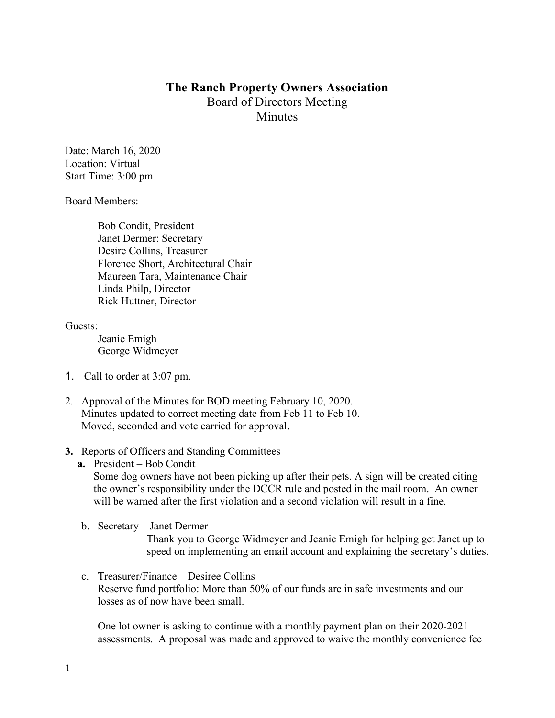## **The Ranch Property Owners Association** Board of Directors Meeting **Minutes**

Date: March 16, 2020 Location: Virtual Start Time: 3:00 pm

Board Members:

Bob Condit, President Janet Dermer: Secretary Desire Collins, Treasurer Florence Short, Architectural Chair Maureen Tara, Maintenance Chair Linda Philp, Director Rick Huttner, Director

Guests:

Jeanie Emigh George Widmeyer

- 1. Call to order at 3:07 pm.
- 2. Approval of the Minutes for BOD meeting February 10, 2020. Minutes updated to correct meeting date from Feb 11 to Feb 10. Moved, seconded and vote carried for approval.
- **3.** Reports of Officers and Standing Committees
	- **a.** President Bob Condit

Some dog owners have not been picking up after their pets. A sign will be created citing the owner's responsibility under the DCCR rule and posted in the mail room. An owner will be warned after the first violation and a second violation will result in a fine.

b. Secretary – Janet Dermer

Thank you to George Widmeyer and Jeanie Emigh for helping get Janet up to speed on implementing an email account and explaining the secretary's duties.

c. Treasurer/Finance – Desiree Collins Reserve fund portfolio: More than 50% of our funds are in safe investments and our losses as of now have been small.

One lot owner is asking to continue with a monthly payment plan on their 2020-2021 assessments. A proposal was made and approved to waive the monthly convenience fee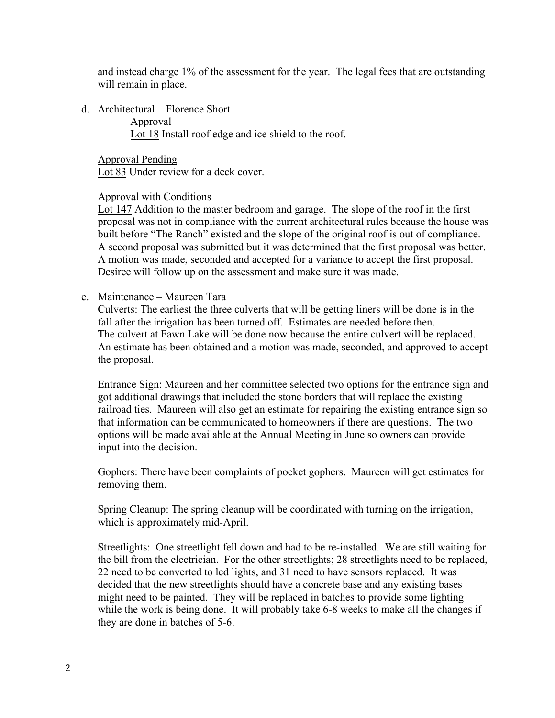and instead charge 1% of the assessment for the year. The legal fees that are outstanding will remain in place.

d. Architectural – Florence Short

Approval

Lot 18 Install roof edge and ice shield to the roof.

Approval Pending Lot 83 Under review for a deck cover.

## Approval with Conditions

Lot 147 Addition to the master bedroom and garage. The slope of the roof in the first proposal was not in compliance with the current architectural rules because the house was built before "The Ranch" existed and the slope of the original roof is out of compliance. A second proposal was submitted but it was determined that the first proposal was better. A motion was made, seconded and accepted for a variance to accept the first proposal. Desiree will follow up on the assessment and make sure it was made.

e. Maintenance – Maureen Tara

Culverts: The earliest the three culverts that will be getting liners will be done is in the fall after the irrigation has been turned off. Estimates are needed before then. The culvert at Fawn Lake will be done now because the entire culvert will be replaced. An estimate has been obtained and a motion was made, seconded, and approved to accept the proposal.

Entrance Sign: Maureen and her committee selected two options for the entrance sign and got additional drawings that included the stone borders that will replace the existing railroad ties. Maureen will also get an estimate for repairing the existing entrance sign so that information can be communicated to homeowners if there are questions. The two options will be made available at the Annual Meeting in June so owners can provide input into the decision.

Gophers: There have been complaints of pocket gophers. Maureen will get estimates for removing them.

Spring Cleanup: The spring cleanup will be coordinated with turning on the irrigation, which is approximately mid-April.

Streetlights: One streetlight fell down and had to be re-installed. We are still waiting for the bill from the electrician. For the other streetlights; 28 streetlights need to be replaced, 22 need to be converted to led lights, and 31 need to have sensors replaced. It was decided that the new streetlights should have a concrete base and any existing bases might need to be painted. They will be replaced in batches to provide some lighting while the work is being done. It will probably take 6-8 weeks to make all the changes if they are done in batches of 5-6.